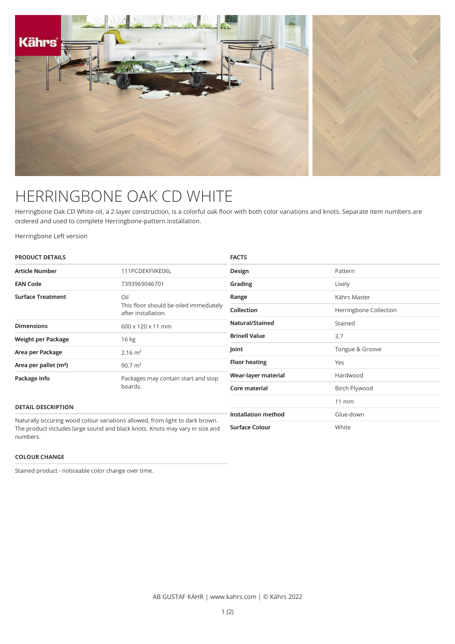

## HERRINGBONE OAK CD WHITE

Herringbone Oak CD White oil, a 2-layer construction, is a colorful oak floor with both color variations and knots. Separate item numbers are ordered and used to complete Herringbone-pattern installation.

Herringbone Left version

| <b>PRODUCT DETAILS</b>                                                       |                                                                              | <b>FACTS</b>               |                        |
|------------------------------------------------------------------------------|------------------------------------------------------------------------------|----------------------------|------------------------|
| <b>Article Number</b>                                                        | 111PCDEKFVKE06L                                                              | Design                     | Pattern                |
| <b>EAN Code</b>                                                              | 7393969046701                                                                | Grading                    | Lively                 |
| <b>Surface Treatment</b>                                                     | Oil<br>This floor should be oiled immediately<br>after installation.         | Range                      | Kährs Master           |
|                                                                              |                                                                              | <b>Collection</b>          | Herringbone Collection |
| <b>Dimensions</b>                                                            | 600 x 120 x 11 mm                                                            | Natural/Stained            | Stained                |
| Weight per Package                                                           | 16 kg                                                                        | <b>Brinell Value</b>       | 3,7                    |
| Area per Package                                                             | $2.16 \text{ m}^2$                                                           | Joint                      | Tongue & Groove        |
| Area per pallet (m <sup>2</sup> )                                            | 90.7 $m2$                                                                    | <b>Floor heating</b>       | Yes                    |
| Package info                                                                 | Packages may contain start and stop<br>boards.                               | Wear-layer material        | Hardwood               |
|                                                                              |                                                                              | Core material              | Birch Plywood          |
| <b>DETAIL DESCRIPTION</b>                                                    |                                                                              |                            | $11 \, \text{mm}$      |
| Naturally occuring wood colour variations allowed, from light to dark brown. |                                                                              | <b>Installation method</b> | Glue-down              |
| numbers.                                                                     | The product includes large sound and black knots. Knots may vary in size and | <b>Surface Colour</b>      | White                  |

## **COLOUR CHANGE**

Stained product - noticeable color change over time.